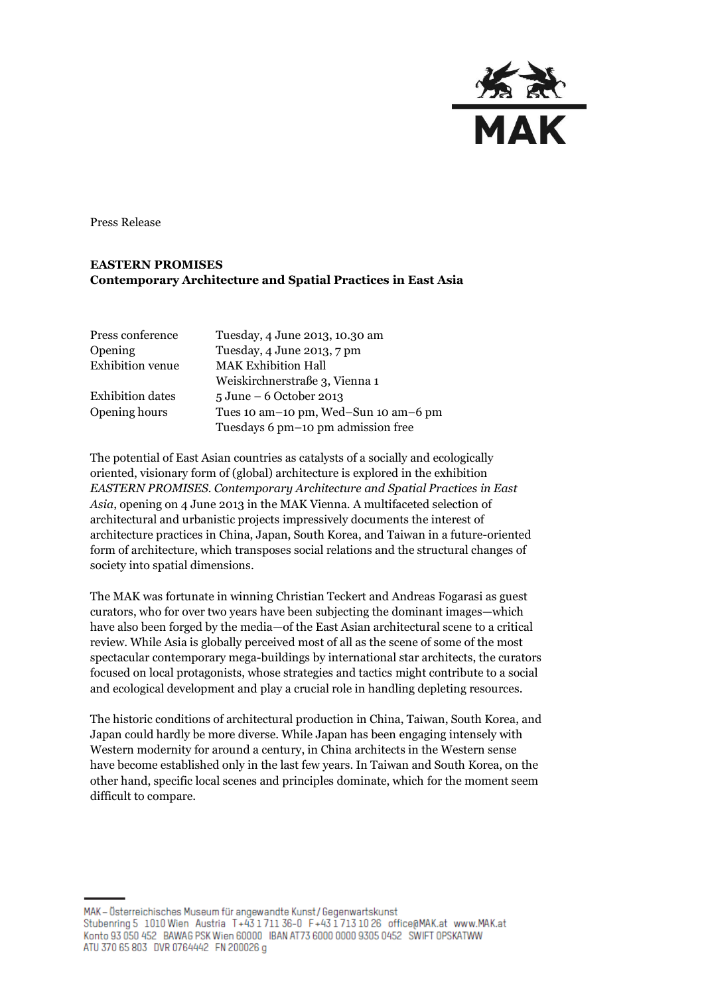

Press Release

## **EASTERN PROMISES Contemporary Architecture and Spatial Practices in East Asia**

| Press conference        | Tuesday, 4 June 2013, 10.30 am             |
|-------------------------|--------------------------------------------|
| Opening                 | Tuesday, 4 June 2013, 7 pm                 |
| <b>Exhibition</b> venue | <b>MAK Exhibition Hall</b>                 |
|                         | Weiskirchnerstraße 3, Vienna 1             |
| <b>Exhibition dates</b> | $5 \text{ June} - 6 \text{ October } 2013$ |
| Opening hours           | Tues 10 am-10 pm, Wed-Sun 10 am-6 pm       |
|                         | Tuesdays 6 pm-10 pm admission free         |

The potential of East Asian countries as catalysts of a socially and ecologically oriented, visionary form of (global) architecture is explored in the exhibition *EASTERN PROMISES. Contemporary Architecture and Spatial Practices in East Asia*, opening on 4 June 2013 in the MAK Vienna. A multifaceted selection of architectural and urbanistic projects impressively documents the interest of architecture practices in China, Japan, South Korea, and Taiwan in a future-oriented form of architecture, which transposes social relations and the structural changes of society into spatial dimensions.

The MAK was fortunate in winning Christian Teckert and Andreas Fogarasi as guest curators, who for over two years have been subjecting the dominant images—which have also been forged by the media—of the East Asian architectural scene to a critical review. While Asia is globally perceived most of all as the scene of some of the most spectacular contemporary mega-buildings by international star architects, the curators focused on local protagonists, whose strategies and tactics might contribute to a social and ecological development and play a crucial role in handling depleting resources.

The historic conditions of architectural production in China, Taiwan, South Korea, and Japan could hardly be more diverse. While Japan has been engaging intensely with Western modernity for around a century, in China architects in the Western sense have become established only in the last few years. In Taiwan and South Korea, on the other hand, specific local scenes and principles dominate, which for the moment seem difficult to compare.

MAK - Österreichisches Museum für angewandte Kunst / Gegenwartskunst Stubenring 5 1010 Wien Austria T+43 1711 36-0 F+43 1713 10 26 office@MAK.at www.MAK.at Konto 93 050 452 BAWAG PSK Wien 60000 IBAN AT73 6000 0000 9305 0452 SWIFT OPSKATWW ATU 370 65 803 DVR 0764442 FN 200026 g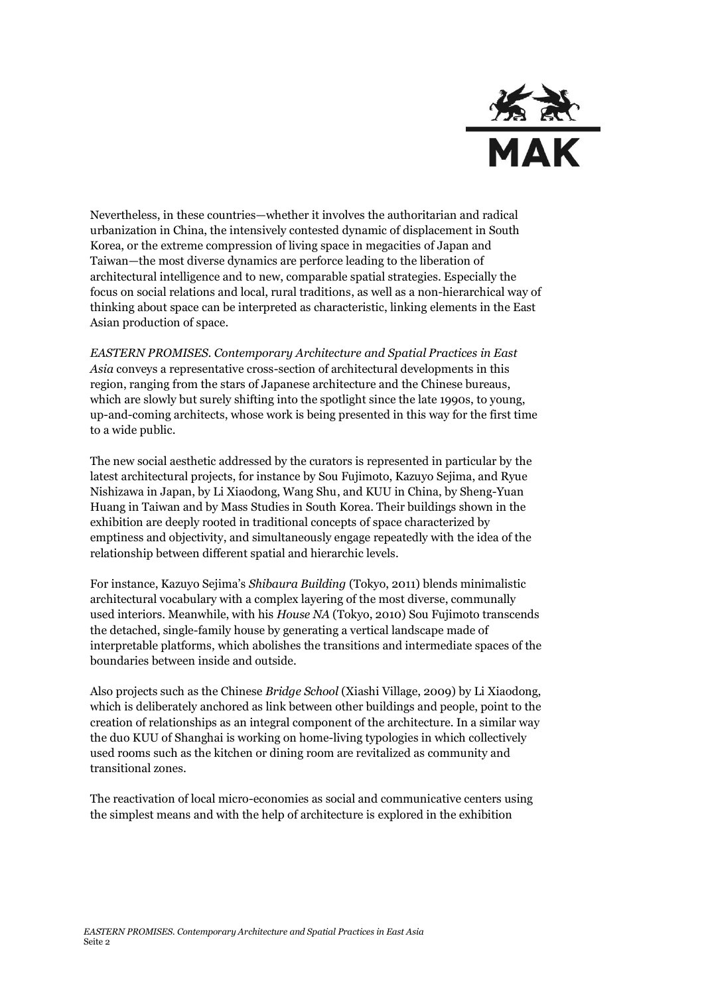

Nevertheless, in these countries—whether it involves the authoritarian and radical urbanization in China, the intensively contested dynamic of displacement in South Korea, or the extreme compression of living space in megacities of Japan and Taiwan—the most diverse dynamics are perforce leading to the liberation of architectural intelligence and to new, comparable spatial strategies. Especially the focus on social relations and local, rural traditions, as well as a non-hierarchical way of thinking about space can be interpreted as characteristic, linking elements in the East Asian production of space.

*EASTERN PROMISES. Contemporary Architecture and Spatial Practices in East Asia* conveys a representative cross-section of architectural developments in this region, ranging from the stars of Japanese architecture and the Chinese bureaus, which are slowly but surely shifting into the spotlight since the late 1990s, to young, up-and-coming architects, whose work is being presented in this way for the first time to a wide public.

The new social aesthetic addressed by the curators is represented in particular by the latest architectural projects, for instance by Sou Fujimoto, Kazuyo Sejima, and Ryue Nishizawa in Japan, by Li Xiaodong, Wang Shu, and KUU in China, by Sheng-Yuan Huang in Taiwan and by Mass Studies in South Korea. Their buildings shown in the exhibition are deeply rooted in traditional concepts of space characterized by emptiness and objectivity, and simultaneously engage repeatedly with the idea of the relationship between different spatial and hierarchic levels.

For instance, Kazuyo Sejima's *Shibaura Building* (Tokyo, 2011) blends minimalistic architectural vocabulary with a complex layering of the most diverse, communally used interiors. Meanwhile, with his *House NA* (Tokyo, 2010) Sou Fujimoto transcends the detached, single-family house by generating a vertical landscape made of interpretable platforms, which abolishes the transitions and intermediate spaces of the boundaries between inside and outside.

Also projects such as the Chinese *Bridge School* (Xiashi Village, 2009) by Li Xiaodong, which is deliberately anchored as link between other buildings and people, point to the creation of relationships as an integral component of the architecture. In a similar way the duo KUU of Shanghai is working on home-living typologies in which collectively used rooms such as the kitchen or dining room are revitalized as community and transitional zones.

The reactivation of local micro-economies as social and communicative centers using the simplest means and with the help of architecture is explored in the exhibition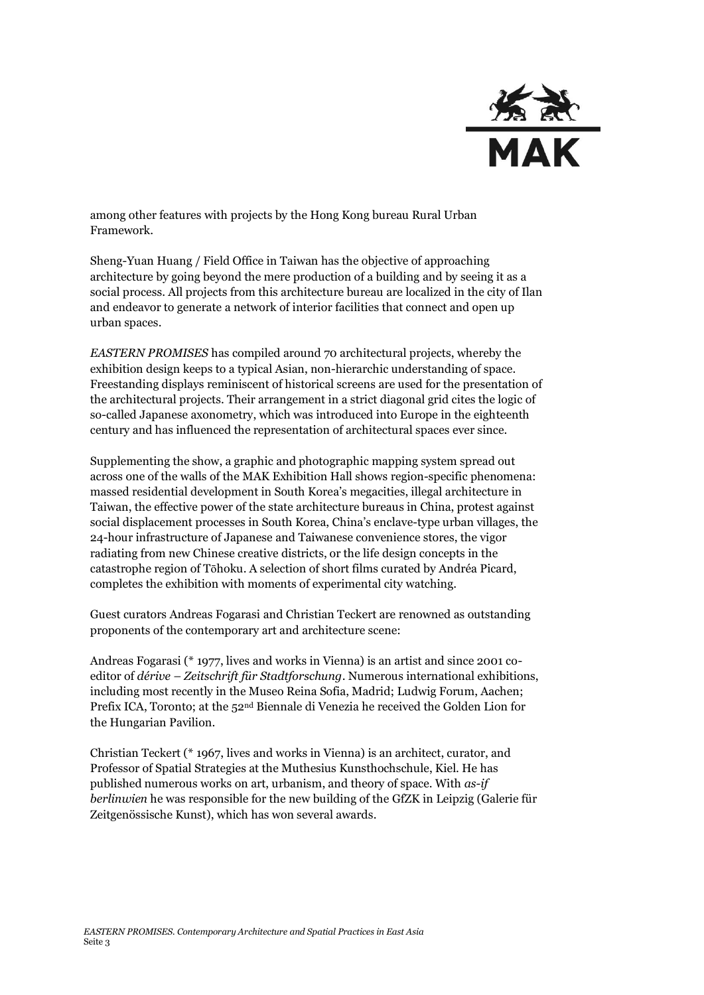

among other features with projects by the Hong Kong bureau Rural Urban Framework.

Sheng-Yuan Huang / Field Office in Taiwan has the objective of approaching architecture by going beyond the mere production of a building and by seeing it as a social process. All projects from this architecture bureau are localized in the city of Ilan and endeavor to generate a network of interior facilities that connect and open up urban spaces.

*EASTERN PROMISES* has compiled around 70 architectural projects, whereby the exhibition design keeps to a typical Asian, non-hierarchic understanding of space. Freestanding displays reminiscent of historical screens are used for the presentation of the architectural projects. Their arrangement in a strict diagonal grid cites the logic of so-called Japanese axonometry, which was introduced into Europe in the eighteenth century and has influenced the representation of architectural spaces ever since.

Supplementing the show, a graphic and photographic mapping system spread out across one of the walls of the MAK Exhibition Hall shows region-specific phenomena: massed residential development in South Korea's megacities, illegal architecture in Taiwan, the effective power of the state architecture bureaus in China, protest against social displacement processes in South Korea, China's enclave-type urban villages, the 24-hour infrastructure of Japanese and Taiwanese convenience stores, the vigor radiating from new Chinese creative districts, or the life design concepts in the catastrophe region of Tōhoku. A selection of short films curated by Andréa Picard, completes the exhibition with moments of experimental city watching.

Guest curators Andreas Fogarasi and Christian Teckert are renowned as outstanding proponents of the contemporary art and architecture scene:

Andreas Fogarasi (\* 1977, lives and works in Vienna) is an artist and since 2001 coeditor of *dérive – Zeitschrift für Stadtforschung*. Numerous international exhibitions, including most recently in the Museo Reina Sofia, Madrid; Ludwig Forum, Aachen; Prefix ICA, Toronto; at the 52nd Biennale di Venezia he received the Golden Lion for the Hungarian Pavilion.

Christian Teckert (\* 1967, lives and works in Vienna) is an architect, curator, and Professor of Spatial Strategies at the Muthesius Kunsthochschule, Kiel. He has published numerous works on art, urbanism, and theory of space. With *as-if berlinwien* he was responsible for the new building of the GfZK in Leipzig (Galerie für Zeitgenössische Kunst), which has won several awards.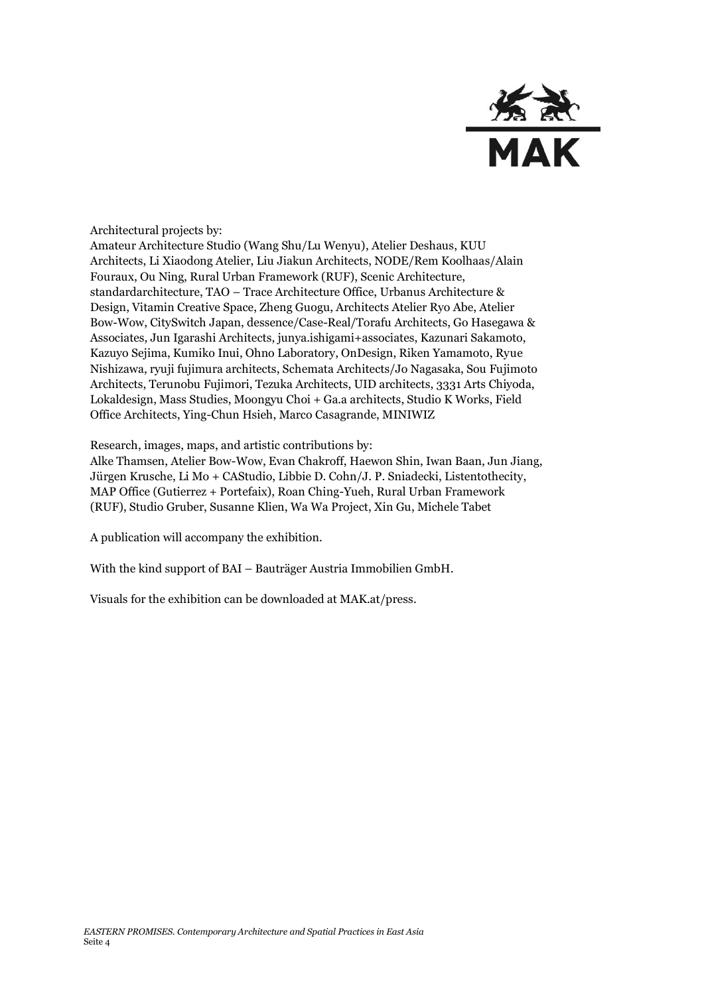

Architectural projects by:

Amateur Architecture Studio (Wang Shu/Lu Wenyu), Atelier Deshaus, KUU Architects, Li Xiaodong Atelier, Liu Jiakun Architects, NODE/Rem Koolhaas/Alain Fouraux, Ou Ning, Rural Urban Framework (RUF), Scenic Architecture, standardarchitecture, TAO – Trace Architecture Office, Urbanus Architecture & Design, Vitamin Creative Space, Zheng Guogu, Architects Atelier Ryo Abe, Atelier Bow-Wow, CitySwitch Japan, dessence/Case-Real/Torafu Architects, Go Hasegawa & Associates, Jun Igarashi Architects, junya.ishigami+associates, Kazunari Sakamoto, Kazuyo Sejima, Kumiko Inui, Ohno Laboratory, OnDesign, Riken Yamamoto, Ryue Nishizawa, ryuji fujimura architects, Schemata Architects/Jo Nagasaka, Sou Fujimoto Architects, Terunobu Fujimori, Tezuka Architects, UID architects, 3331 Arts Chiyoda, Lokaldesign, Mass Studies, Moongyu Choi + Ga.a architects, Studio K Works, Field Office Architects, Ying-Chun Hsieh, Marco Casagrande, MINIWIZ

Research, images, maps, and artistic contributions by:

Alke Thamsen, Atelier Bow-Wow, Evan Chakroff, Haewon Shin, Iwan Baan, Jun Jiang, Jürgen Krusche, Li Mo + CAStudio, Libbie D. Cohn/J. P. Sniadecki, Listentothecity, MAP Office (Gutierrez + Portefaix), Roan Ching-Yueh, Rural Urban Framework (RUF), Studio Gruber, Susanne Klien, Wa Wa Project, Xin Gu, Michele Tabet

A publication will accompany the exhibition.

With the kind support of BAI – Bauträger Austria Immobilien GmbH.

Visuals for the exhibition can be downloaded at MAK.at/press.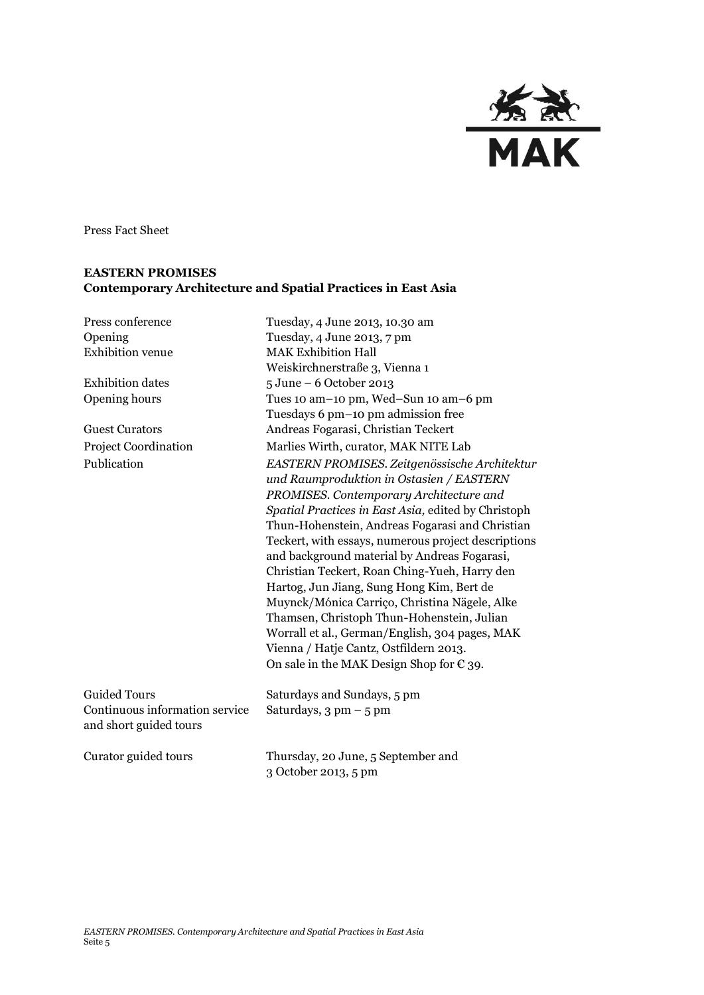

Press Fact Sheet

## **EASTERN PROMISES Contemporary Architecture and Spatial Practices in East Asia**

| Press conference                                                                | Tuesday, 4 June 2013, 10.30 am                                                                                                                                                                                                                                                                                                                                                                                                                                                                                                                                                                                                                 |
|---------------------------------------------------------------------------------|------------------------------------------------------------------------------------------------------------------------------------------------------------------------------------------------------------------------------------------------------------------------------------------------------------------------------------------------------------------------------------------------------------------------------------------------------------------------------------------------------------------------------------------------------------------------------------------------------------------------------------------------|
| Opening                                                                         | Tuesday, 4 June 2013, 7 pm                                                                                                                                                                                                                                                                                                                                                                                                                                                                                                                                                                                                                     |
| <b>Exhibition</b> venue                                                         | <b>MAK Exhibition Hall</b>                                                                                                                                                                                                                                                                                                                                                                                                                                                                                                                                                                                                                     |
|                                                                                 | Weiskirchnerstraße 3, Vienna 1                                                                                                                                                                                                                                                                                                                                                                                                                                                                                                                                                                                                                 |
| <b>Exhibition</b> dates                                                         | 5 June - 6 October 2013                                                                                                                                                                                                                                                                                                                                                                                                                                                                                                                                                                                                                        |
| Opening hours                                                                   | Tues 10 am-10 pm, Wed-Sun 10 am-6 pm                                                                                                                                                                                                                                                                                                                                                                                                                                                                                                                                                                                                           |
|                                                                                 | Tuesdays 6 pm-10 pm admission free                                                                                                                                                                                                                                                                                                                                                                                                                                                                                                                                                                                                             |
| <b>Guest Curators</b>                                                           | Andreas Fogarasi, Christian Teckert                                                                                                                                                                                                                                                                                                                                                                                                                                                                                                                                                                                                            |
| <b>Project Coordination</b>                                                     | Marlies Wirth, curator, MAK NITE Lab                                                                                                                                                                                                                                                                                                                                                                                                                                                                                                                                                                                                           |
| Publication                                                                     | EASTERN PROMISES. Zeitgenössische Architektur<br>und Raumproduktion in Ostasien / EASTERN<br>PROMISES. Contemporary Architecture and<br>Spatial Practices in East Asia, edited by Christoph<br>Thun-Hohenstein, Andreas Fogarasi and Christian<br>Teckert, with essays, numerous project descriptions<br>and background material by Andreas Fogarasi,<br>Christian Teckert, Roan Ching-Yueh, Harry den<br>Hartog, Jun Jiang, Sung Hong Kim, Bert de<br>Muynck/Mónica Carriço, Christina Nägele, Alke<br>Thamsen, Christoph Thun-Hohenstein, Julian<br>Worrall et al., German/English, 304 pages, MAK<br>Vienna / Hatje Cantz, Ostfildern 2013. |
|                                                                                 | On sale in the MAK Design Shop for $\epsilon$ 39.                                                                                                                                                                                                                                                                                                                                                                                                                                                                                                                                                                                              |
| <b>Guided Tours</b><br>Continuous information service<br>and short guided tours | Saturdays and Sundays, 5 pm<br>Saturdays, $3 \text{ pm} - 5 \text{ pm}$                                                                                                                                                                                                                                                                                                                                                                                                                                                                                                                                                                        |
| Curator guided tours                                                            | Thursday, 20 June, 5 September and<br>3 October 2013, 5 pm                                                                                                                                                                                                                                                                                                                                                                                                                                                                                                                                                                                     |